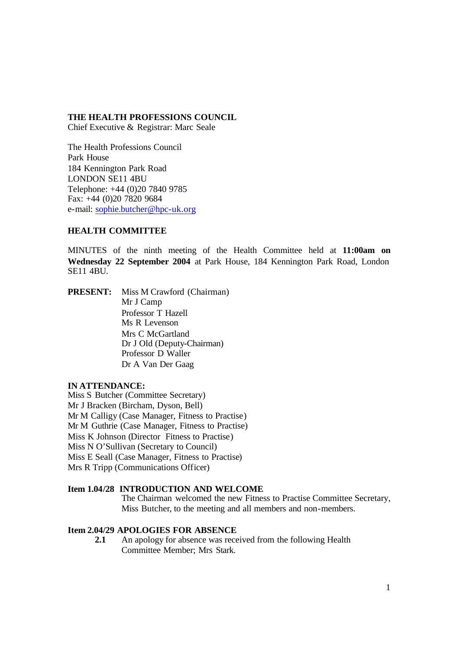## **THE HEALTH PROFESSIONS COUNCIL**

Chief Executive & Registrar: Marc Seale

The Health Professions Council Park House 184 Kennington Park Road LONDON SE11 4BU Telephone: +44 (0)20 7840 9785 Fax: +44 (0)20 7820 9684 e-mail: sophie.butcher@hpc-uk.org

## **HEALTH COMMITTEE**

MINUTES of the ninth meeting of the Health Committee held at **11:00am on Wednesday 22 September 2004** at Park House, 184 Kennington Park Road, London SE11 4BU.

**PRESENT:** Miss M Crawford (Chairman) Mr J Camp Professor T Hazell Ms R Levenson Mrs C McGartland Dr J Old (Deputy-Chairman) Professor D Waller Dr A Van Der Gaag

## **IN ATTENDANCE:**

Miss S Butcher (Committee Secretary) Mr J Bracken (Bircham, Dyson, Bell) Mr M Calligy (Case Manager, Fitness to Practise) Mr M Guthrie (Case Manager, Fitness to Practise) Miss K Johnson (Director Fitness to Practise) Miss N O'Sullivan (Secretary to Council) Miss E Seall (Case Manager, Fitness to Practise) Mrs R Tripp (Communications Officer)

# **Item 1.04/28 INTRODUCTION AND WELCOME**

The Chairman welcomed the new Fitness to Practise Committee Secretary, Miss Butcher, to the meeting and all members and non-members.

# **Item 2.04/29 APOLOGIES FOR ABSENCE**

**2.1** An apology for absence was received from the following Health Committee Member; Mrs Stark.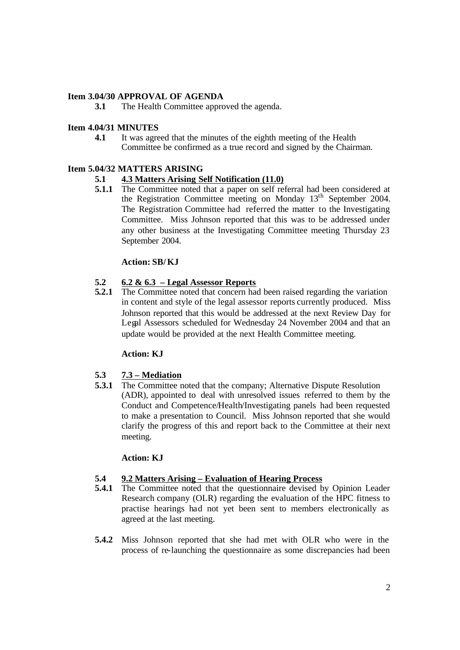# **Item 3.04/30 APPROVAL OF AGENDA**

**3.1** The Health Committee approved the agenda.

# **Item 4.04/31 MINUTES**

**4.1** It was agreed that the minutes of the eighth meeting of the Health Committee be confirmed as a true record and signed by the Chairman.

# **Item 5.04/32 MATTERS ARISING**

# **5.1 4.3 Matters Arising Self Notification (11.0)**

**5.1.1** The Committee noted that a paper on self referral had been considered at the Registration Committee meeting on Monday 13th September 2004. The Registration Committee had referred the matter to the Investigating Committee. Miss Johnson reported that this was to be addressed under any other business at the Investigating Committee meeting Thursday 23 September 2004.

# **Action: SB/ KJ**

# **5.2 6.2 & 6.3 – Legal Assessor Reports**

**5.2.1** The Committee noted that concern had been raised regarding the variation in content and style of the legal assessor reports currently produced. Miss Johnson reported that this would be addressed at the next Review Day for Legal Assessors scheduled for Wednesday 24 November 2004 and that an update would be provided at the next Health Committee meeting.

## **Action: KJ**

# **5.3 7.3 – Mediation**

**5.3.1** The Committee noted that the company; Alternative Dispute Resolution (ADR), appointed to deal with unresolved issues referred to them by the Conduct and Competence/Health/Investigating panels had been requested to make a presentation to Council. Miss Johnson reported that she would clarify the progress of this and report back to the Committee at their next meeting.

# **Action: KJ**

# **5.4 9.2 Matters Arising – Evaluation of Hearing Process**

- **5.4.1** The Committee noted that the questionnaire devised by Opinion Leader Research company (OLR) regarding the evaluation of the HPC fitness to practise hearings had not yet been sent to members electronically as agreed at the last meeting.
- **5.4.2** Miss Johnson reported that she had met with OLR who were in the process of re-launching the questionnaire as some discrepancies had been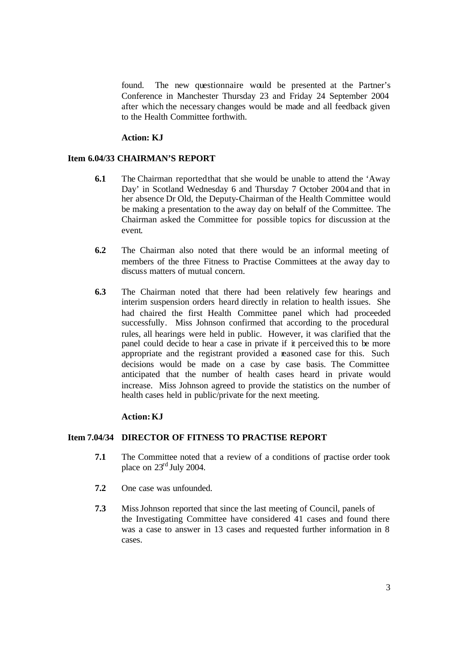found. The new questionnaire would be presented at the Partner's Conference in Manchester Thursday 23 and Friday 24 September 2004 after which the necessary changes would be made and all feedback given to the Health Committee forthwith.

#### **Action: KJ**

# **Item 6.04/33 CHAIRMAN'S REPORT**

- **6.1** The Chairman reported that that she would be unable to attend the 'Away' Day' in Scotland Wednesday 6 and Thursday 7 October 2004 and that in her absence Dr Old, the Deputy-Chairman of the Health Committee would be making a presentation to the away day on behalf of the Committee. The Chairman asked the Committee for possible topics for discussion at the event.
- **6.2** The Chairman also noted that there would be an informal meeting of members of the three Fitness to Practise Committees at the away day to discuss matters of mutual concern.
- **6.3** The Chairman noted that there had been relatively few hearings and interim suspension orders heard directly in relation to health issues. She had chaired the first Health Committee panel which had proceeded successfully. Miss Johnson confirmed that according to the procedural rules, all hearings were held in public. However, it was clarified that the panel could decide to hear a case in private if it perceived this to be more appropriate and the registrant provided a reasoned case for this. Such decisions would be made on a case by case basis. The Committee anticipated that the number of health cases heard in private would increase. Miss Johnson agreed to provide the statistics on the number of health cases held in public/private for the next meeting.

### **Action: KJ**

# **Item 7.04/34 DIRECTOR OF FITNESS TO PRACTISE REPORT**

- **7.1** The Committee noted that a review of a conditions of practise order took place on  $23<sup>rd</sup>$  July 2004.
- **7.2** One case was unfounded.
- **7.3** Miss Johnson reported that since the last meeting of Council, panels of the Investigating Committee have considered 41 cases and found there was a case to answer in 13 cases and requested further information in 8 cases.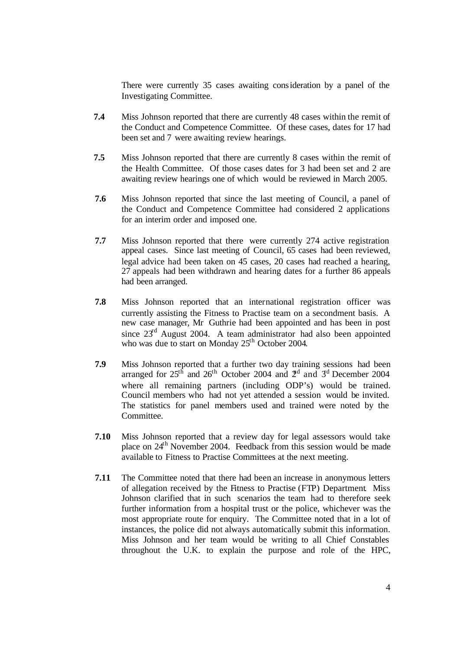There were currently 35 cases awaiting consideration by a panel of the Investigating Committee.

- **7.4** Miss Johnson reported that there are currently 48 cases within the remit of the Conduct and Competence Committee. Of these cases, dates for 17 had been set and 7 were awaiting review hearings.
- **7.5** Miss Johnson reported that there are currently 8 cases within the remit of the Health Committee. Of those cases dates for 3 had been set and 2 are awaiting review hearings one of which would be reviewed in March 2005.
- **7.6** Miss Johnson reported that since the last meeting of Council, a panel of the Conduct and Competence Committee had considered 2 applications for an interim order and imposed one.
- **7.7** Miss Johnson reported that there were currently 274 active registration appeal cases. Since last meeting of Council, 65 cases had been reviewed, legal advice had been taken on 45 cases, 20 cases had reached a hearing, 27 appeals had been withdrawn and hearing dates for a further 86 appeals had been arranged.
- **7.8** Miss Johnson reported that an international registration officer was currently assisting the Fitness to Practise team on a secondment basis. A new case manager, Mr Guthrie had been appointed and has been in post since  $23<sup>rd</sup>$  August 2004. A team administrator had also been appointed who was due to start on Monday  $25<sup>th</sup>$  October 2004.
- **7.9** Miss Johnson reported that a further two day training sessions had been arranged for  $25<sup>th</sup>$  and  $26<sup>th</sup>$  October 2004 and  $2<sup>nd</sup>$  and  $3<sup>rd</sup>$  December 2004 where all remaining partners (including ODP's) would be trained. Council members who had not yet attended a session would be invited. The statistics for panel members used and trained were noted by the Committee.
- **7.10** Miss Johnson reported that a review day for legal assessors would take place on 24th November 2004. Feedback from this session would be made available to Fitness to Practise Committees at the next meeting.
- **7.11** The Committee noted that there had been an increase in anonymous letters of allegation received by the Fitness to Practise (FTP) Department. Miss Johnson clarified that in such scenarios the team had to therefore seek further information from a hospital trust or the police, whichever was the most appropriate route for enquiry. The Committee noted that in a lot of instances, the police did not always automatically submit this information. Miss Johnson and her team would be writing to all Chief Constables throughout the U.K. to explain the purpose and role of the HPC,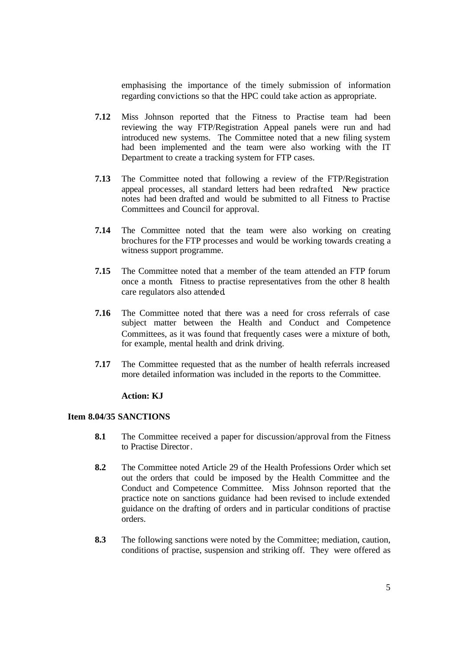emphasising the importance of the timely submission of information regarding convictions so that the HPC could take action as appropriate.

- **7.12** Miss Johnson reported that the Fitness to Practise team had been reviewing the way FTP/Registration Appeal panels were run and had introduced new systems. The Committee noted that a new filing system had been implemented and the team were also working with the IT Department to create a tracking system for FTP cases.
- **7.13** The Committee noted that following a review of the FTP/Registration appeal processes, all standard letters had been redrafted. New practice notes had been drafted and would be submitted to all Fitness to Practise Committees and Council for approval.
- **7.14** The Committee noted that the team were also working on creating brochures for the FTP processes and would be working towards creating a witness support programme.
- **7.15** The Committee noted that a member of the team attended an FTP forum once a month. Fitness to practise representatives from the other 8 health care regulators also attended.
- **7.16** The Committee noted that there was a need for cross referrals of case subject matter between the Health and Conduct and Competence Committees, as it was found that frequently cases were a mixture of both, for example, mental health and drink driving.
- **7.17** The Committee requested that as the number of health referrals increased more detailed information was included in the reports to the Committee.

## **Action: KJ**

## **Item 8.04/35 SANCTIONS**

- **8.1** The Committee received a paper for discussion/approval from the Fitness to Practise Director.
- **8.2** The Committee noted Article 29 of the Health Professions Order which set out the orders that could be imposed by the Health Committee and the Conduct and Competence Committee. Miss Johnson reported that the practice note on sanctions guidance had been revised to include extended guidance on the drafting of orders and in particular conditions of practise orders.
- **8.3** The following sanctions were noted by the Committee; mediation, caution, conditions of practise, suspension and striking off. They were offered as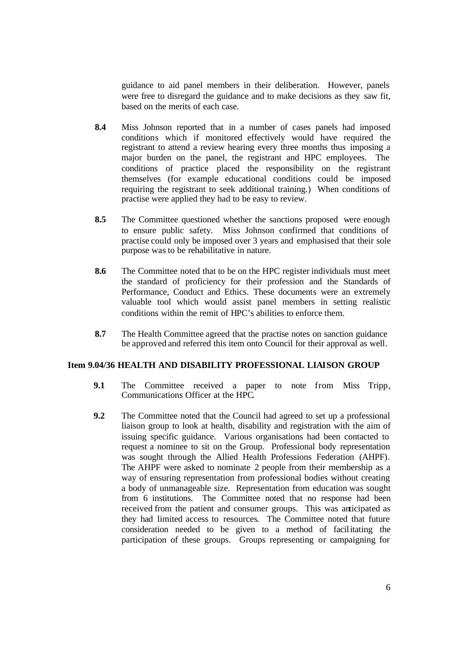guidance to aid panel members in their deliberation. However, panels were free to disregard the guidance and to make decisions as they saw fit, based on the merits of each case.

- **8.4** Miss Johnson reported that in a number of cases panels had imposed conditions which if monitored effectively would have required the registrant to attend a review hearing every three months thus imposing a major burden on the panel, the registrant and HPC employees. The conditions of practice placed the responsibility on the registrant themselves (for example educational conditions could be imposed requiring the registrant to seek additional training.) When conditions of practise were applied they had to be easy to review.
- **8.5** The Committee questioned whether the sanctions proposed were enough to ensure public safety. Miss Johnson confirmed that conditions of practise could only be imposed over 3 years and emphasised that their sole purpose was to be rehabilitative in nature.
- **8.6** The Committee noted that to be on the HPC register individuals must meet the standard of proficiency for their profession and the Standards of Performance, Conduct and Ethics. These documents were an extremely valuable tool which would assist panel members in setting realistic conditions within the remit of HPC's abilities to enforce them.
- **8.7** The Health Committee agreed that the practise notes on sanction guidance be approved and referred this item onto Council for their approval as well.

# **Item 9.04/36 HEALTH AND DISABILITY PROFESSIONAL LIAISON GROUP**

- **9.1** The Committee received a paper to note from Miss Tripp, Communications Officer at the HPC.
- **9.2** The Committee noted that the Council had agreed to set up a professional liaison group to look at health, disability and registration with the aim of issuing specific guidance. Various organisations had been contacted to request a nominee to sit on the Group. Professional body representation was sought through the Allied Health Professions Federation (AHPF). The AHPF were asked to nominate 2 people from their membership as a way of ensuring representation from professional bodies without creating a body of unmanageable size. Representation from education was sought from 6 institutions. The Committee noted that no response had been received from the patient and consumer groups. This was anticipated as they had limited access to resources. The Committee noted that future consideration needed to be given to a method of facilitating the participation of these groups. Groups representing or campaigning for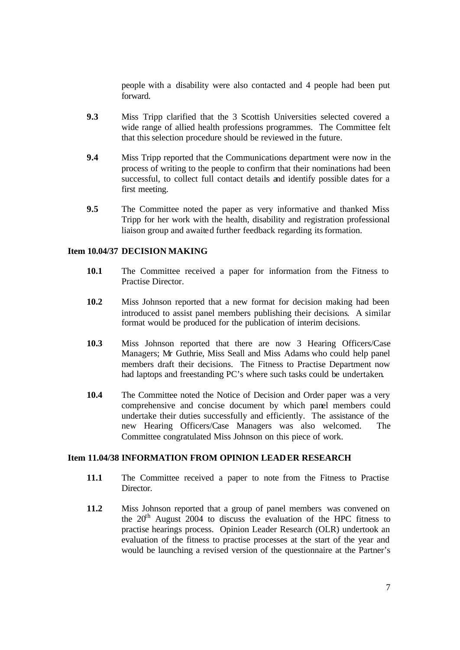people with a disability were also contacted and 4 people had been put forward.

- **9.3** Miss Tripp clarified that the 3 Scottish Universities selected covered a wide range of allied health professions programmes. The Committee felt that this selection procedure should be reviewed in the future.
- **9.4** Miss Tripp reported that the Communications department were now in the process of writing to the people to confirm that their nominations had been successful, to collect full contact details and identify possible dates for a first meeting.
- **9.5** The Committee noted the paper as very informative and thanked Miss Tripp for her work with the health, disability and registration professional liaison group and awaited further feedback regarding its formation.

## **Item 10.04/37 DECISION MAKING**

- **10.1** The Committee received a paper for information from the Fitness to Practise Director.
- **10.2** Miss Johnson reported that a new format for decision making had been introduced to assist panel members publishing their decisions. A similar format would be produced for the publication of interim decisions.
- **10.3** Miss Johnson reported that there are now 3 Hearing Officers/Case Managers; Mr Guthrie, Miss Seall and Miss Adams who could help panel members draft their decisions. The Fitness to Practise Department now had laptops and freestanding PC's where such tasks could be undertaken.
- **10.4** The Committee noted the Notice of Decision and Order paper was a very comprehensive and concise document by which panel members could undertake their duties successfully and efficiently. The assistance of the new Hearing Officers/Case Managers was also welcomed. The Committee congratulated Miss Johnson on this piece of work.

# **Item 11.04/38 INFORMATION FROM OPINION LEADER RESEARCH**

- **11.1** The Committee received a paper to note from the Fitness to Practise Director.
- **11.2** Miss Johnson reported that a group of panel members was convened on the  $20<sup>th</sup>$  August 2004 to discuss the evaluation of the HPC fitness to practise hearings process. Opinion Leader Research (OLR) undertook an evaluation of the fitness to practise processes at the start of the year and would be launching a revised version of the questionnaire at the Partner's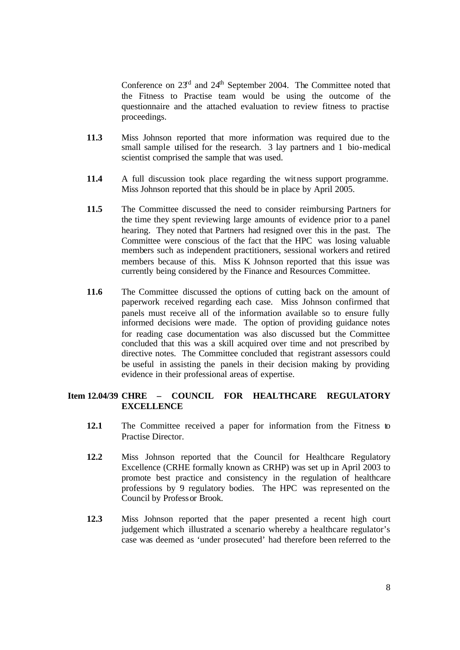Conference on  $23<sup>rd</sup>$  and  $24<sup>th</sup>$  September 2004. The Committee noted that the Fitness to Practise team would be using the outcome of the questionnaire and the attached evaluation to review fitness to practise proceedings.

- **11.3** Miss Johnson reported that more information was required due to the small sample utilised for the research. 3 lay partners and 1 bio-medical scientist comprised the sample that was used.
- **11.4** A full discussion took place regarding the witness support programme. Miss Johnson reported that this should be in place by April 2005.
- **11.5** The Committee discussed the need to consider reimbursing Partners for the time they spent reviewing large amounts of evidence prior to a panel hearing. They noted that Partners had resigned over this in the past. The Committee were conscious of the fact that the HPC was losing valuable members such as independent practitioners, sessional workers and retired members because of this. Miss K Johnson reported that this issue was currently being considered by the Finance and Resources Committee.
- **11.6** The Committee discussed the options of cutting back on the amount of paperwork received regarding each case. Miss Johnson confirmed that panels must receive all of the information available so to ensure fully informed decisions were made. The option of providing guidance notes for reading case documentation was also discussed but the Committee concluded that this was a skill acquired over time and not prescribed by directive notes. The Committee concluded that registrant assessors could be useful in assisting the panels in their decision making by providing evidence in their professional areas of expertise.

# **Item 12.04/39 CHRE – COUNCIL FOR HEALTHCARE REGULATORY EXCELLENCE**

- **12.1** The Committee received a paper for information from the Fitness to Practise Director.
- **12.2** Miss Johnson reported that the Council for Healthcare Regulatory Excellence (CRHE formally known as CRHP) was set up in April 2003 to promote best practice and consistency in the regulation of healthcare professions by 9 regulatory bodies. The HPC was represented on the Council by Professor Brook.
- **12.3** Miss Johnson reported that the paper presented a recent high court judgement which illustrated a scenario whereby a healthcare regulator's case was deemed as 'under prosecuted' had therefore been referred to the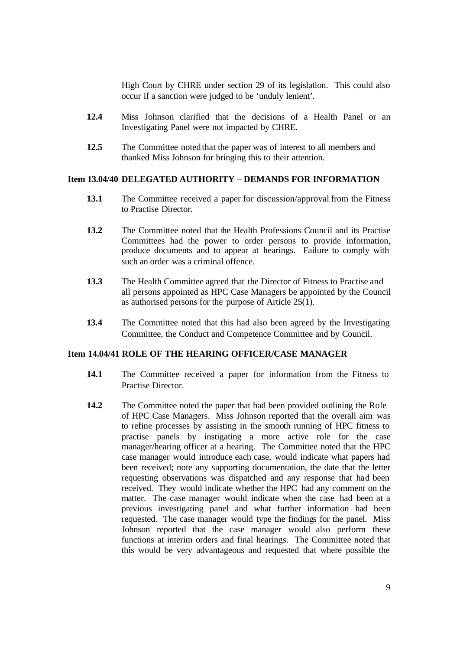High Court by CHRE under section 29 of its legislation. This could also occur if a sanction were judged to be 'unduly lenient'.

- **12.4** Miss Johnson clarified that the decisions of a Health Panel or an Investigating Panel were not impacted by CHRE.
- **12.5** The Committee noted that the paper was of interest to all members and thanked Miss Johnson for bringing this to their attention.

## **Item 13.04/40 DELEGATED AUTHORITY – DEMANDS FOR INFORMATION**

- **13.1** The Committee received a paper for discussion/approval from the Fitness to Practise Director.
- **13.2** The Committee noted that the Health Professions Council and its Practise Committees had the power to order persons to provide information, produce documents and to appear at hearings. Failure to comply with such an order was a criminal offence.
- **13.3** The Health Committee agreed that the Director of Fitness to Practise and all persons appointed as HPC Case Managers be appointed by the Council as authorised persons for the purpose of Article  $25(1)$ .
- **13.4** The Committee noted that this had also been agreed by the Investigating Committee, the Conduct and Competence Committee and by Council.

# **Item 14.04/41 ROLE OF THE HEARING OFFICER/CASE MANAGER**

- **14.1** The Committee received a paper for information from the Fitness to Practise Director.
- **14.2** The Committee noted the paper that had been provided outlining the Role of HPC Case Managers. Miss Johnson reported that the overall aim was to refine processes by assisting in the smooth running of HPC fitness to practise panels by instigating a more active role for the case manager/hearing officer at a hearing. The Committee noted that the HPC case manager would introduce each case, would indicate what papers had been received; note any supporting documentation, the date that the letter requesting observations was dispatched and any response that had been received. They would indicate whether the HPC had any comment on the matter. The case manager would indicate when the case had been at a previous investigating panel and what further information had been requested. The case manager would type the findings for the panel. Miss Johnson reported that the case manager would also perform these functions at interim orders and final hearings. The Committee noted that this would be very advantageous and requested that where possible the